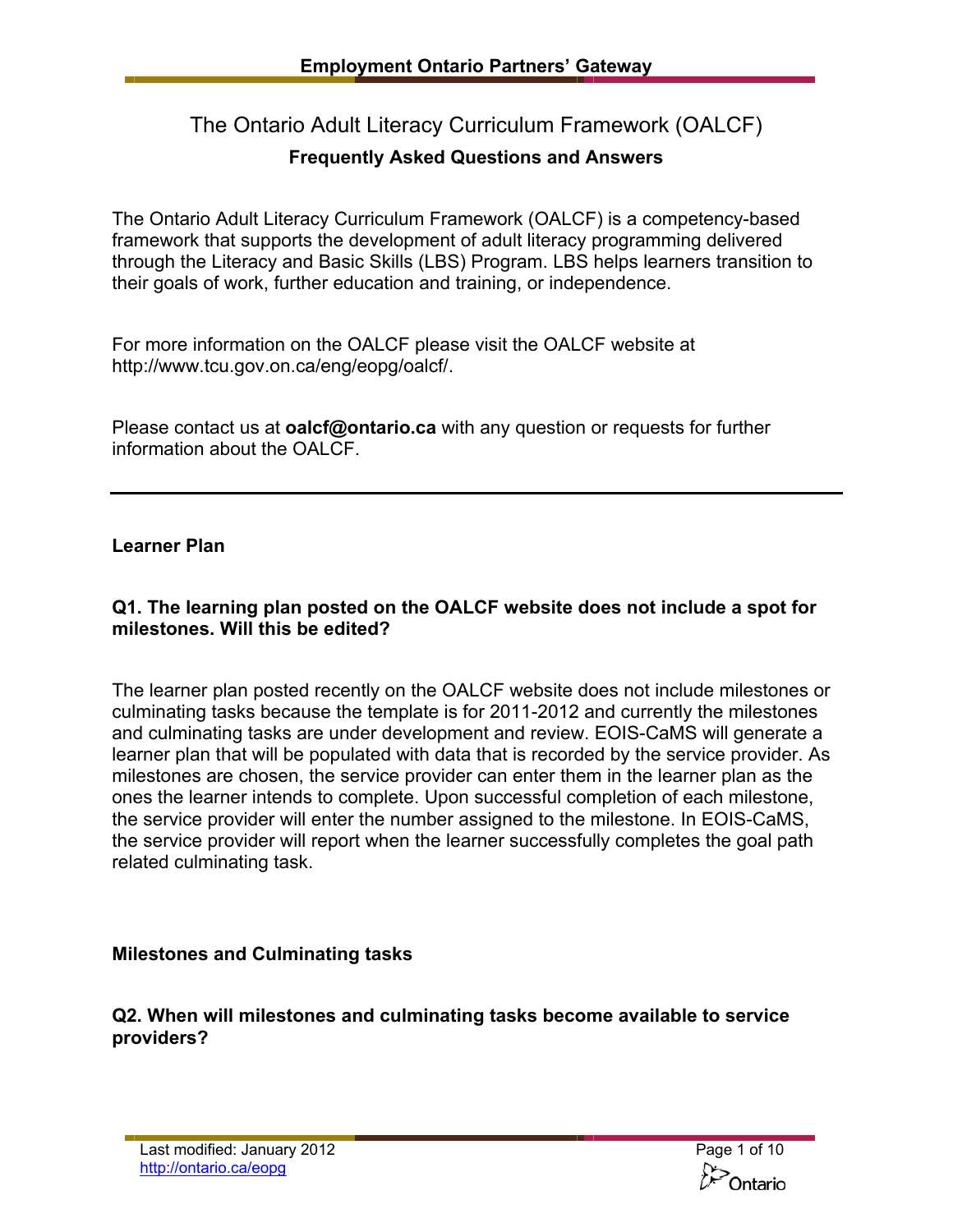# The Ontario Adult Literacy Curriculum Framework (OALCF)

# **Frequently Asked Questions and Answers**

The Ontario Adult Literacy Curriculum Framework (OALCF) is a competency-based framework that supports the development of adult literacy programming delivered through the Literacy and Basic Skills (LBS) Program. LBS helps learners transition to their goals of work, further education and training, or independence.

For more information on the OALCF please visit the OALCF website at [http://www.tcu.gov.on.ca/eng/eopg/oalcf/](http://www.tcu.gov.on.ca/eng/eopg/programs/lbs_oalcf_overview.html).

Please contact us at **[oalcf@ontario.ca](mailto:oalcf@ontario.ca)** with any question or requests for further information about the OALCF.

# **Learner Plan**

# **Q1. The learning plan posted on the OALCF website does not include a spot for milestones. Will this be edited?**

The learner plan posted recently on the OALCF website does not include milestones or culminating tasks because the template is for 2011-2012 and currently the milestones and culminating tasks are under development and review. EOIS-CaMS will generate a learner plan that will be populated with data that is recorded by the service provider. As milestones are chosen, the service provider can enter them in the learner plan as the ones the learner intends to complete. Upon successful completion of each milestone, the service provider will enter the number assigned to the milestone. In EOIS-CaMS, the service provider will report when the learner successfully completes the goal path related culminating task.

# **Milestones and Culminating tasks**

**Q2. When will milestones and culminating tasks become available to service providers?** 

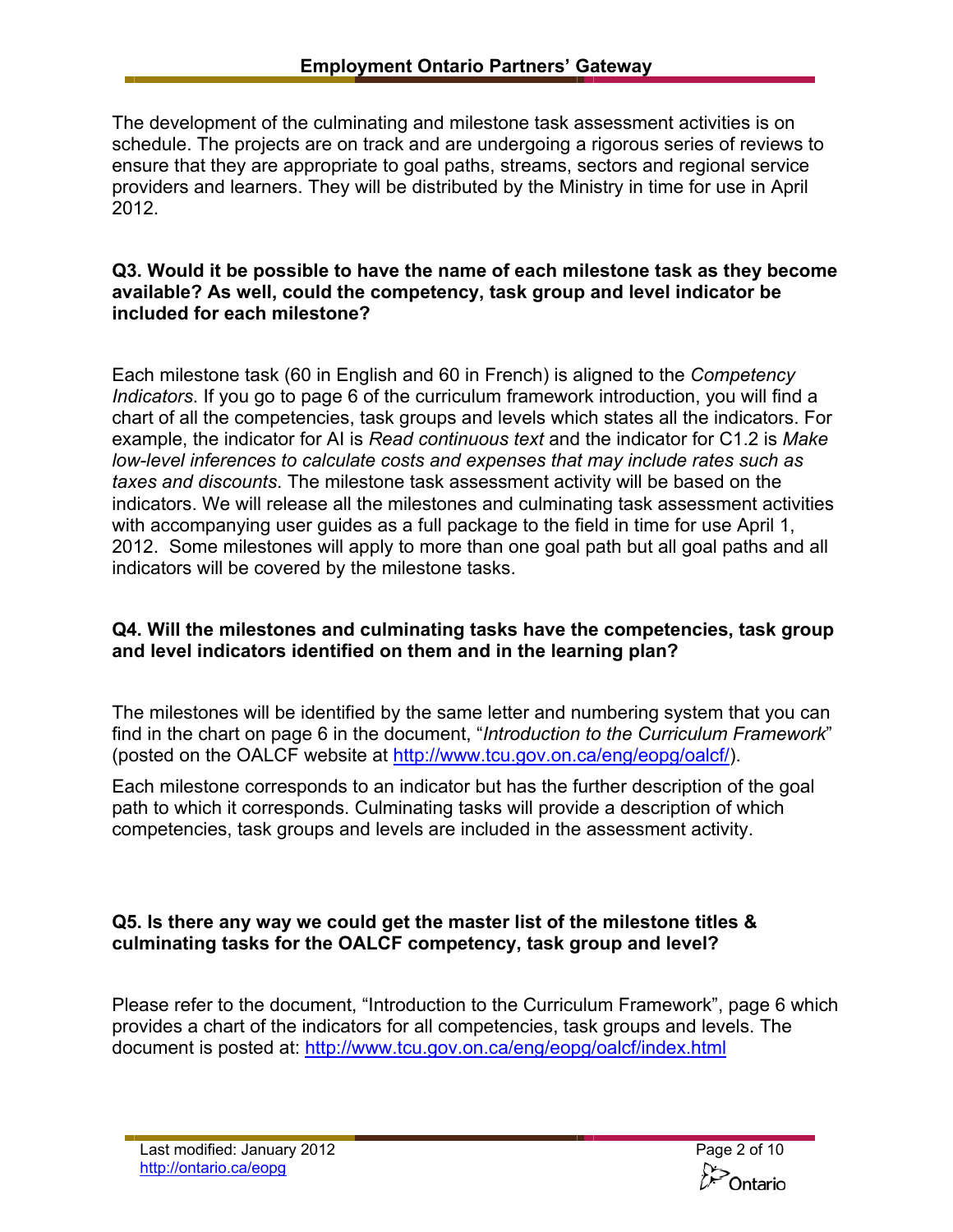The development of the culminating and milestone task assessment activities is on schedule. The projects are on track and are undergoing a rigorous series of reviews to ensure that they are appropriate to goal paths, streams, sectors and regional service providers and learners. They will be distributed by the Ministry in time for use in April 2012.

### **Q3. Would it be possible to have the name of each milestone task as they become available? As well, could the competency, task group and level indicator be included for each milestone?**

Each milestone task (60 in English and 60 in French) is aligned to the *Competency Indicators*. If you go to page 6 of the curriculum framework introduction, you will find a chart of all the competencies, task groups and levels which states all the indicators. For example, the indicator for AI is *Read continuous text* and the indicator for C1.2 is *Make low-level inferences to calculate costs and expenses that may include rates such as taxes and discounts*. The milestone task assessment activity will be based on the indicators. We will release all the milestones and culminating task assessment activities with accompanying user guides as a full package to the field in time for use April 1, 2012. Some milestones will apply to more than one goal path but all goal paths and all indicators will be covered by the milestone tasks.

# **Q4. Will the milestones and culminating tasks have the competencies, task group and level indicators identified on them and in the learning plan?**

The milestones will be identified by the same letter and numbering system that you can find in the chart on page 6 in the document, "*Introduction to the Curriculum Framework*" (posted on the OALCF website at [http://www.tcu.gov.on.ca/eng/eopg/oalcf/\)](http://www.tcu.gov.on.ca/eng/eopg/programs/lbs_oalcf_overview.html).

Each milestone corresponds to an indicator but has the further description of the goal path to which it corresponds. Culminating tasks will provide a description of which competencies, task groups and levels are included in the assessment activity.

# **Q5. Is there any way we could get the master list of the milestone titles & culminating tasks for the OALCF competency, task group and level?**

Please refer to the document, "Introduction to the Curriculum Framework", page 6 which provides a chart of the indicators for all competencies, task groups and levels. The document is posted at: [http://www.tcu.gov.on.ca/eng/eopg/oalcf/index.html](http://www.tcu.gov.on.ca/eng/eopg/programs/lbs_oalcf_overview.html)

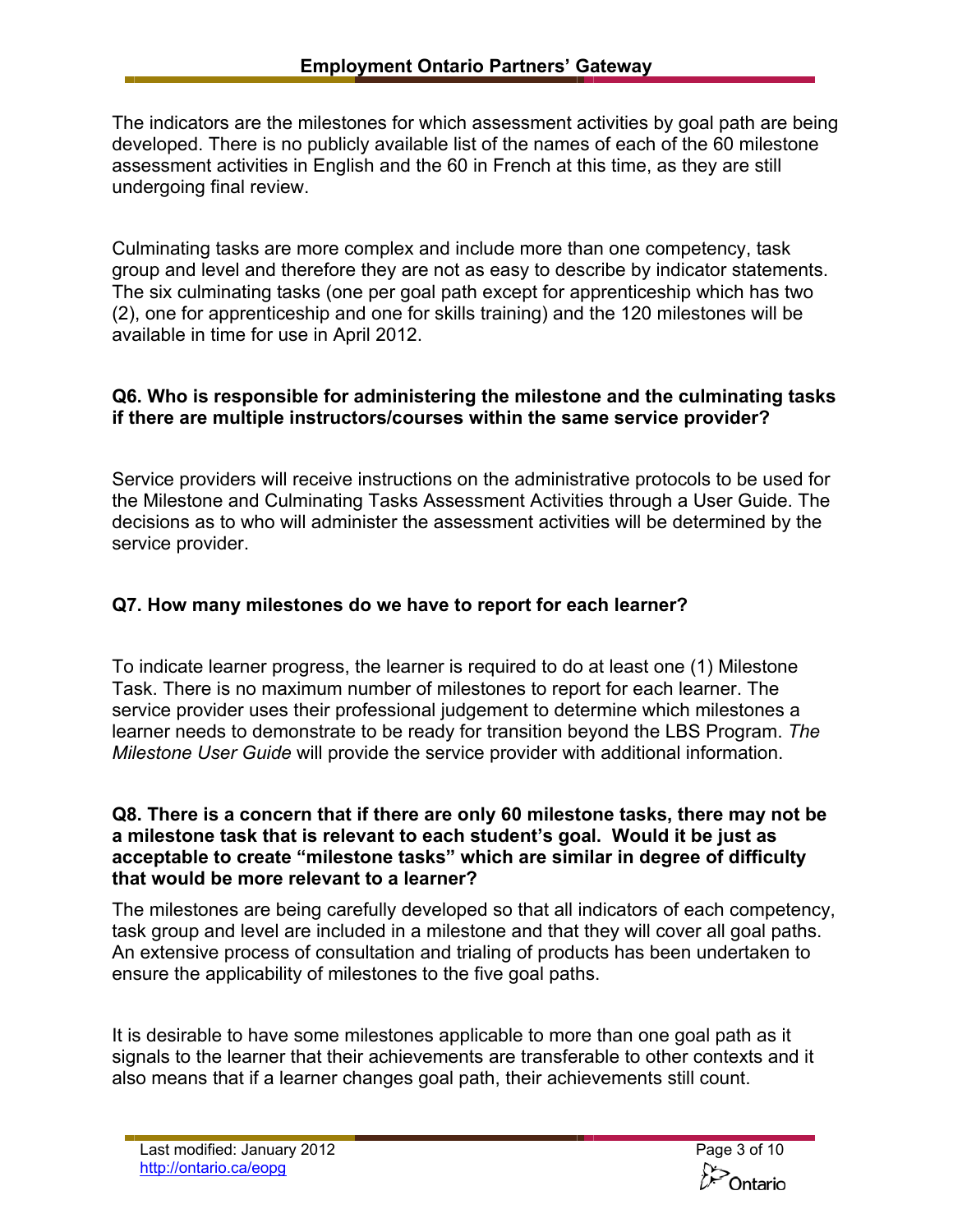The indicators are the milestones for which assessment activities by goal path are being developed. There is no publicly available list of the names of each of the 60 milestone assessment activities in English and the 60 in French at this time, as they are still undergoing final review.

Culminating tasks are more complex and include more than one competency, task group and level and therefore they are not as easy to describe by indicator statements. The six culminating tasks (one per goal path except for apprenticeship which has two (2), one for apprenticeship and one for skills training) and the 120 milestones will be available in time for use in April 2012.

# **Q6. Who is responsible for administering the milestone and the culminating tasks if there are multiple instructors/courses within the same service provider?**

Service providers will receive instructions on the administrative protocols to be used for the Milestone and Culminating Tasks Assessment Activities through a User Guide. The decisions as to who will administer the assessment activities will be determined by the service provider.

# **Q7. How many milestones do we have to report for each learner?**

To indicate learner progress, the learner is required to do at least one (1) Milestone Task. There is no maximum number of milestones to report for each learner. The service provider uses their professional judgement to determine which milestones a learner needs to demonstrate to be ready for transition beyond the LBS Program. *The Milestone User Guide* will provide the service provider with additional information.

#### **Q8. There is a concern that if there are only 60 milestone tasks, there may not be a milestone task that is relevant to each student's goal. Would it be just as acceptable to create "milestone tasks" which are similar in degree of difficulty that would be more relevant to a learner?**

The milestones are being carefully developed so that all indicators of each competency, task group and level are included in a milestone and that they will cover all goal paths. An extensive process of consultation and trialing of products has been undertaken to ensure the applicability of milestones to the five goal paths.

It is desirable to have some milestones applicable to more than one goal path as it signals to the learner that their achievements are transferable to other contexts and it also means that if a learner changes goal path, their achievements still count.

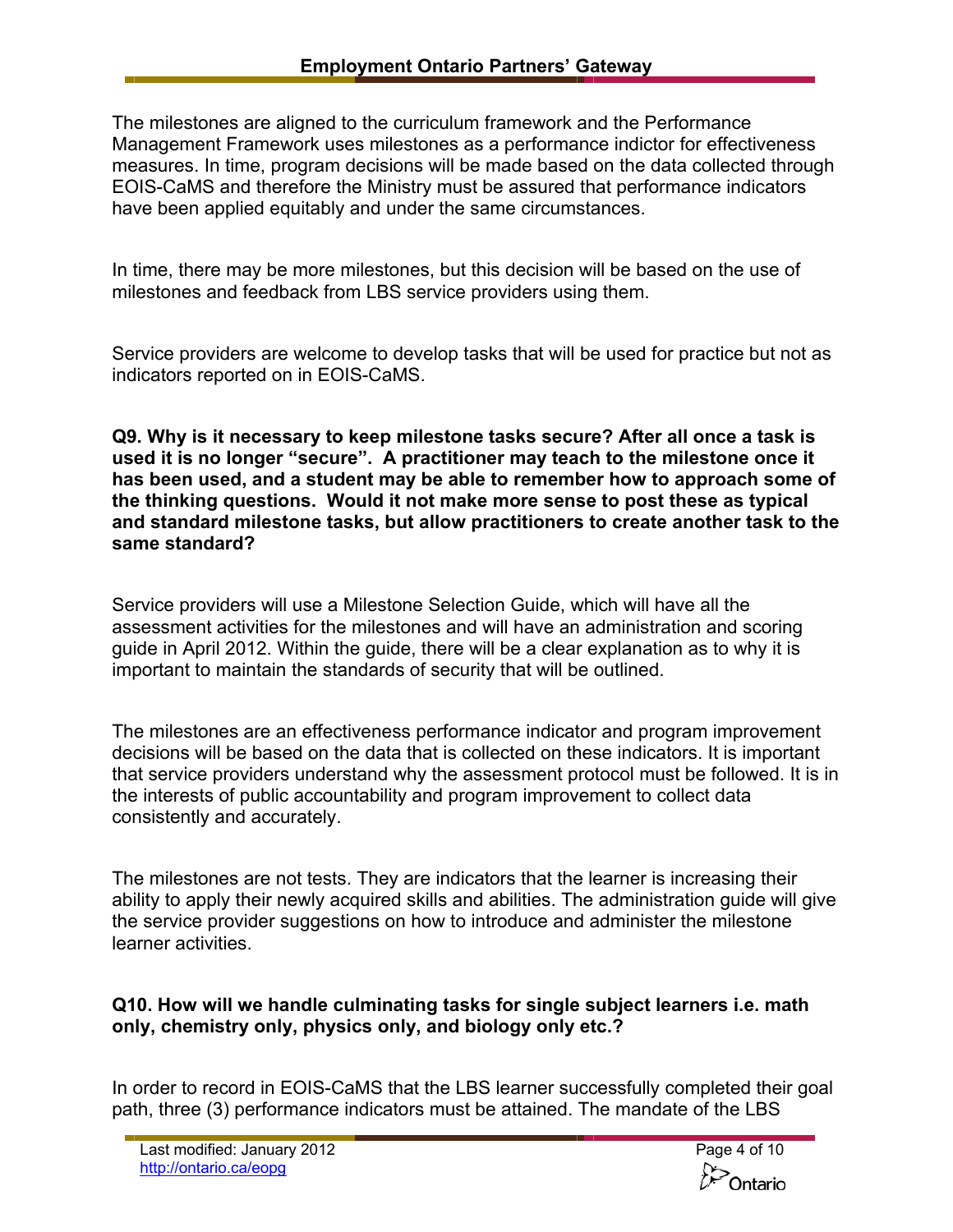The milestones are aligned to the curriculum framework and the Performance Management Framework uses milestones as a performance indictor for effectiveness measures. In time, program decisions will be made based on the data collected through EOIS-CaMS and therefore the Ministry must be assured that performance indicators have been applied equitably and under the same circumstances.

In time, there may be more milestones, but this decision will be based on the use of milestones and feedback from LBS service providers using them.

Service providers are welcome to develop tasks that will be used for practice but not as indicators reported on in EOIS-CaMS.

**Q9. Why is it necessary to keep milestone tasks secure? After all once a task is used it is no longer "secure". A practitioner may teach to the milestone once it has been used, and a student may be able to remember how to approach some of the thinking questions. Would it not make more sense to post these as typical and standard milestone tasks, but allow practitioners to create another task to the same standard?** 

Service providers will use a Milestone Selection Guide, which will have all the assessment activities for the milestones and will have an administration and scoring guide in April 2012. Within the guide, there will be a clear explanation as to why it is important to maintain the standards of security that will be outlined.

The milestones are an effectiveness performance indicator and program improvement decisions will be based on the data that is collected on these indicators. It is important that service providers understand why the assessment protocol must be followed. It is in the interests of public accountability and program improvement to collect data consistently and accurately.

The milestones are not tests. They are indicators that the learner is increasing their ability to apply their newly acquired skills and abilities. The administration guide will give the service provider suggestions on how to introduce and administer the milestone learner activities.

# **Q10. How will we handle culminating tasks for single subject learners i.e. math only, chemistry only, physics only, and biology only etc.?**

In order to record in EOIS-CaMS that the LBS learner successfully completed their goal path, three (3) performance indicators must be attained. The mandate of the LBS

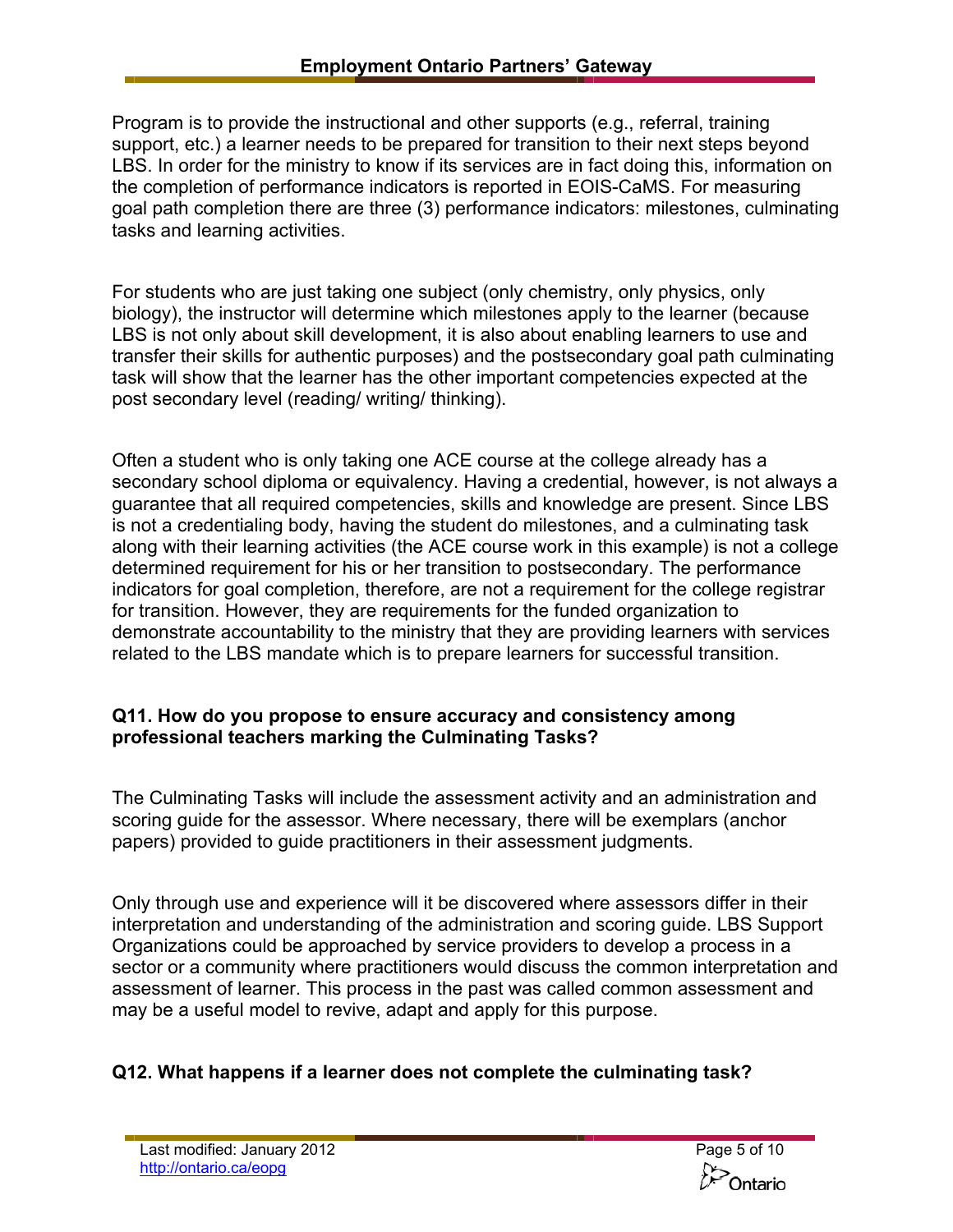Program is to provide the instructional and other supports (e.g., referral, training support, etc.) a learner needs to be prepared for transition to their next steps beyond LBS. In order for the ministry to know if its services are in fact doing this, information on the completion of performance indicators is reported in EOIS-CaMS. For measuring goal path completion there are three (3) performance indicators: milestones, culminating tasks and learning activities.

For students who are just taking one subject (only chemistry, only physics, only biology), the instructor will determine which milestones apply to the learner (because LBS is not only about skill development, it is also about enabling learners to use and transfer their skills for authentic purposes) and the postsecondary goal path culminating task will show that the learner has the other important competencies expected at the post secondary level (reading/ writing/ thinking).

Often a student who is only taking one ACE course at the college already has a secondary school diploma or equivalency. Having a credential, however, is not always a guarantee that all required competencies, skills and knowledge are present. Since LBS is not a credentialing body, having the student do milestones, and a culminating task along with their learning activities (the ACE course work in this example) is not a college determined requirement for his or her transition to postsecondary. The performance indicators for goal completion, therefore, are not a requirement for the college registrar for transition. However, they are requirements for the funded organization to demonstrate accountability to the ministry that they are providing learners with services related to the LBS mandate which is to prepare learners for successful transition.

### **Q11. How do you propose to ensure accuracy and consistency among professional teachers marking the Culminating Tasks?**

The Culminating Tasks will include the assessment activity and an administration and scoring guide for the assessor. Where necessary, there will be exemplars (anchor papers) provided to guide practitioners in their assessment judgments.

Only through use and experience will it be discovered where assessors differ in their interpretation and understanding of the administration and scoring guide. LBS Support Organizations could be approached by service providers to develop a process in a sector or a community where practitioners would discuss the common interpretation and assessment of learner. This process in the past was called common assessment and may be a useful model to revive, adapt and apply for this purpose.

# **Q12. What happens if a learner does not complete the culminating task?**

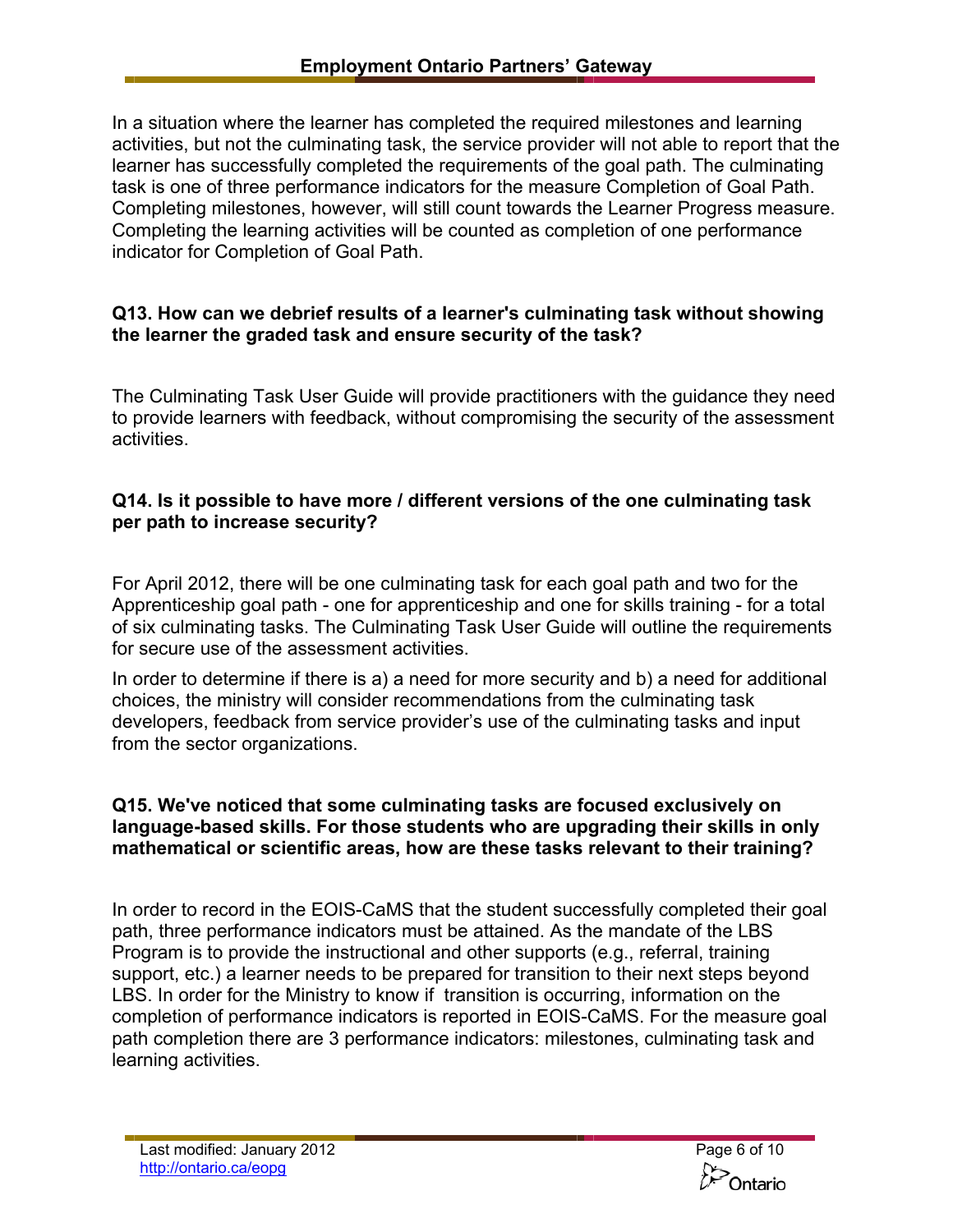In a situation where the learner has completed the required milestones and learning activities, but not the culminating task, the service provider will not able to report that the learner has successfully completed the requirements of the goal path. The culminating task is one of three performance indicators for the measure Completion of Goal Path. Completing milestones, however, will still count towards the Learner Progress measure. Completing the learning activities will be counted as completion of one performance indicator for Completion of Goal Path.

### **Q13. How can we debrief results of a learner's culminating task without showing the learner the graded task and ensure security of the task?**

The Culminating Task User Guide will provide practitioners with the guidance they need to provide learners with feedback, without compromising the security of the assessment activities.

### **Q14. Is it possible to have more / different versions of the one culminating task per path to increase security?**

For April 2012, there will be one culminating task for each goal path and two for the Apprenticeship goal path - one for apprenticeship and one for skills training - for a total of six culminating tasks. The Culminating Task User Guide will outline the requirements for secure use of the assessment activities.

In order to determine if there is a) a need for more security and b) a need for additional choices, the ministry will consider recommendations from the culminating task developers, feedback from service provider's use of the culminating tasks and input from the sector organizations.

#### **Q15. We've noticed that some culminating tasks are focused exclusively on language-based skills. For those students who are upgrading their skills in only mathematical or scientific areas, how are these tasks relevant to their training?**

In order to record in the EOIS-CaMS that the student successfully completed their goal path, three performance indicators must be attained. As the mandate of the LBS Program is to provide the instructional and other supports (e.g., referral, training support, etc.) a learner needs to be prepared for transition to their next steps beyond LBS. In order for the Ministry to know if transition is occurring, information on the completion of performance indicators is reported in EOIS-CaMS. For the measure goal path completion there are 3 performance indicators: milestones, culminating task and learning activities.

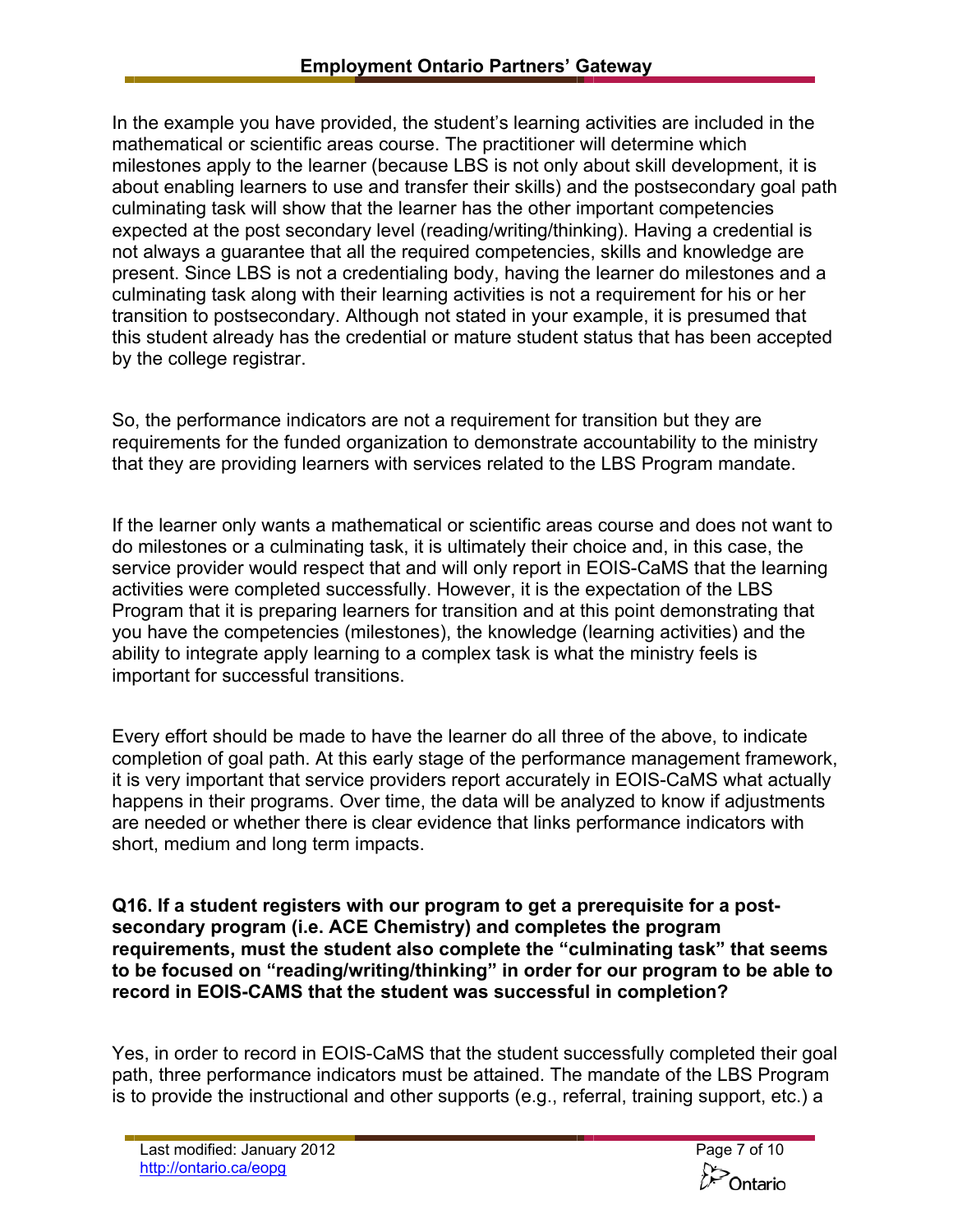In the example you have provided, the student's learning activities are included in the mathematical or scientific areas course. The practitioner will determine which milestones apply to the learner (because LBS is not only about skill development, it is about enabling learners to use and transfer their skills) and the postsecondary goal path culminating task will show that the learner has the other important competencies expected at the post secondary level (reading/writing/thinking). Having a credential is not always a guarantee that all the required competencies, skills and knowledge are present. Since LBS is not a credentialing body, having the learner do milestones and a culminating task along with their learning activities is not a requirement for his or her transition to postsecondary. Although not stated in your example, it is presumed that this student already has the credential or mature student status that has been accepted by the college registrar.

So, the performance indicators are not a requirement for transition but they are requirements for the funded organization to demonstrate accountability to the ministry that they are providing learners with services related to the LBS Program mandate.

If the learner only wants a mathematical or scientific areas course and does not want to do milestones or a culminating task, it is ultimately their choice and, in this case, the service provider would respect that and will only report in EOIS-CaMS that the learning activities were completed successfully. However, it is the expectation of the LBS Program that it is preparing learners for transition and at this point demonstrating that you have the competencies (milestones), the knowledge (learning activities) and the ability to integrate apply learning to a complex task is what the ministry feels is important for successful transitions.

Every effort should be made to have the learner do all three of the above, to indicate completion of goal path. At this early stage of the performance management framework, it is very important that service providers report accurately in EOIS-CaMS what actually happens in their programs. Over time, the data will be analyzed to know if adjustments are needed or whether there is clear evidence that links performance indicators with short, medium and long term impacts.

**Q16. If a student registers with our program to get a prerequisite for a postsecondary program (i.e. ACE Chemistry) and completes the program requirements, must the student also complete the "culminating task" that seems to be focused on "reading/writing/thinking" in order for our program to be able to record in EOIS-CAMS that the student was successful in completion?** 

Yes, in order to record in EOIS-CaMS that the student successfully completed their goal path, three performance indicators must be attained. The mandate of the LBS Program is to provide the instructional and other supports (e.g., referral, training support, etc.) a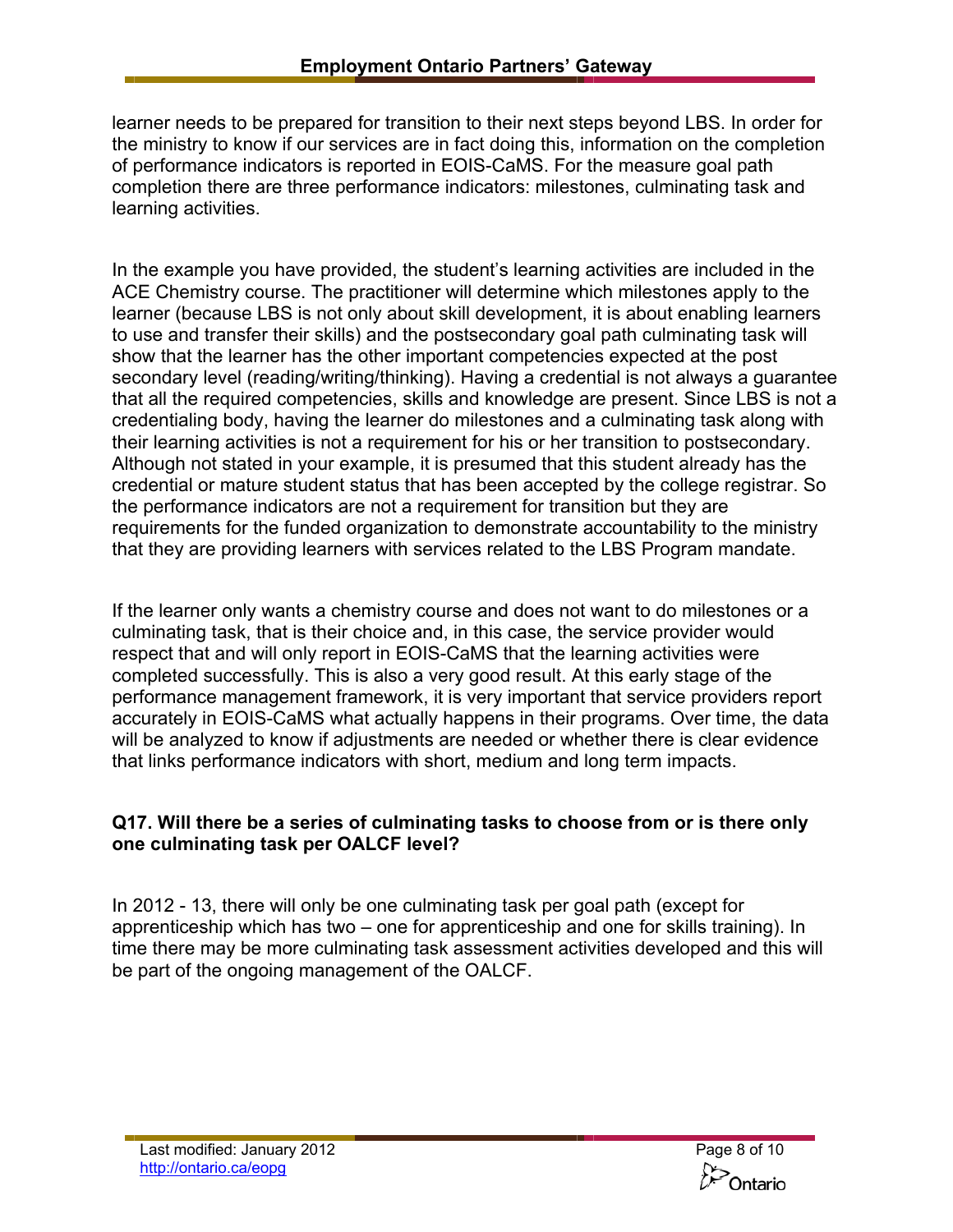learner needs to be prepared for transition to their next steps beyond LBS. In order for the ministry to know if our services are in fact doing this, information on the completion of performance indicators is reported in EOIS-CaMS. For the measure goal path completion there are three performance indicators: milestones, culminating task and learning activities.

In the example you have provided, the student's learning activities are included in the ACE Chemistry course. The practitioner will determine which milestones apply to the learner (because LBS is not only about skill development, it is about enabling learners to use and transfer their skills) and the postsecondary goal path culminating task will show that the learner has the other important competencies expected at the post secondary level (reading/writing/thinking). Having a credential is not always a guarantee that all the required competencies, skills and knowledge are present. Since LBS is not a credentialing body, having the learner do milestones and a culminating task along with their learning activities is not a requirement for his or her transition to postsecondary. Although not stated in your example, it is presumed that this student already has the credential or mature student status that has been accepted by the college registrar. So the performance indicators are not a requirement for transition but they are requirements for the funded organization to demonstrate accountability to the ministry that they are providing learners with services related to the LBS Program mandate.

If the learner only wants a chemistry course and does not want to do milestones or a culminating task, that is their choice and, in this case, the service provider would respect that and will only report in EOIS-CaMS that the learning activities were completed successfully. This is also a very good result. At this early stage of the performance management framework, it is very important that service providers report accurately in EOIS-CaMS what actually happens in their programs. Over time, the data will be analyzed to know if adjustments are needed or whether there is clear evidence that links performance indicators with short, medium and long term impacts.

# **Q17. Will there be a series of culminating tasks to choose from or is there only one culminating task per OALCF level?**

In 2012 - 13, there will only be one culminating task per goal path (except for apprenticeship which has two – one for apprenticeship and one for skills training). In time there may be more culminating task assessment activities developed and this will be part of the ongoing management of the OALCF.

**Dontario**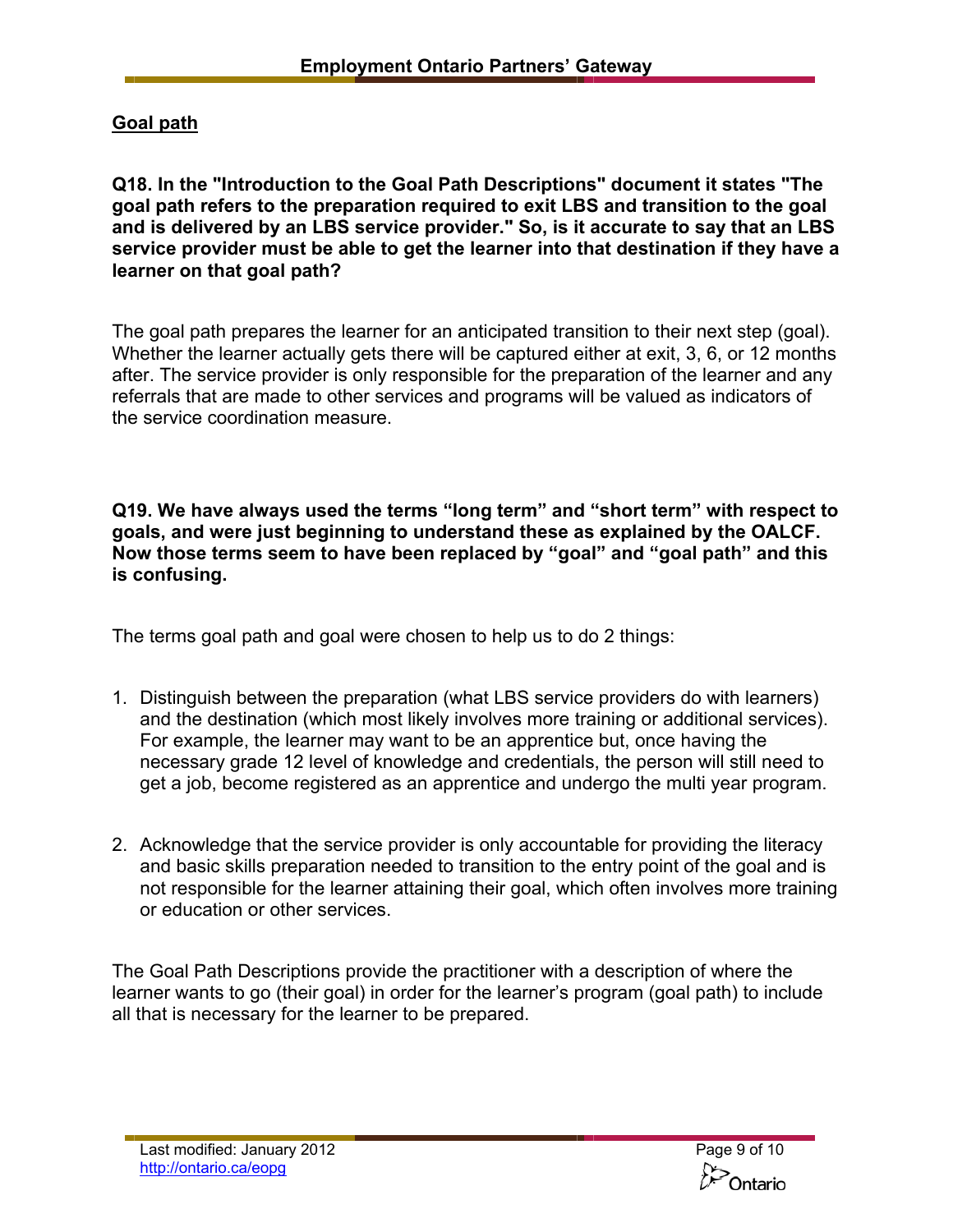# **Goal path**

**Q18. In the "Introduction to the Goal Path Descriptions" document it states "The goal path refers to the preparation required to exit LBS and transition to the goal and is delivered by an LBS service provider." So, is it accurate to say that an LBS service provider must be able to get the learner into that destination if they have a learner on that goal path?** 

The goal path prepares the learner for an anticipated transition to their next step (goal). Whether the learner actually gets there will be captured either at exit, 3, 6, or 12 months after. The service provider is only responsible for the preparation of the learner and any referrals that are made to other services and programs will be valued as indicators of the service coordination measure.

**Q19. We have always used the terms "long term" and "short term" with respect to goals, and were just beginning to understand these as explained by the OALCF. Now those terms seem to have been replaced by "goal" and "goal path" and this is confusing.** 

The terms goal path and goal were chosen to help us to do 2 things:

- 1. Distinguish between the preparation (what LBS service providers do with learners) and the destination (which most likely involves more training or additional services). For example, the learner may want to be an apprentice but, once having the necessary grade 12 level of knowledge and credentials, the person will still need to get a job, become registered as an apprentice and undergo the multi year program.
- 2. Acknowledge that the service provider is only accountable for providing the literacy and basic skills preparation needed to transition to the entry point of the goal and is not responsible for the learner attaining their goal, which often involves more training or education or other services.

The Goal Path Descriptions provide the practitioner with a description of where the learner wants to go (their goal) in order for the learner's program (goal path) to include all that is necessary for the learner to be prepared.